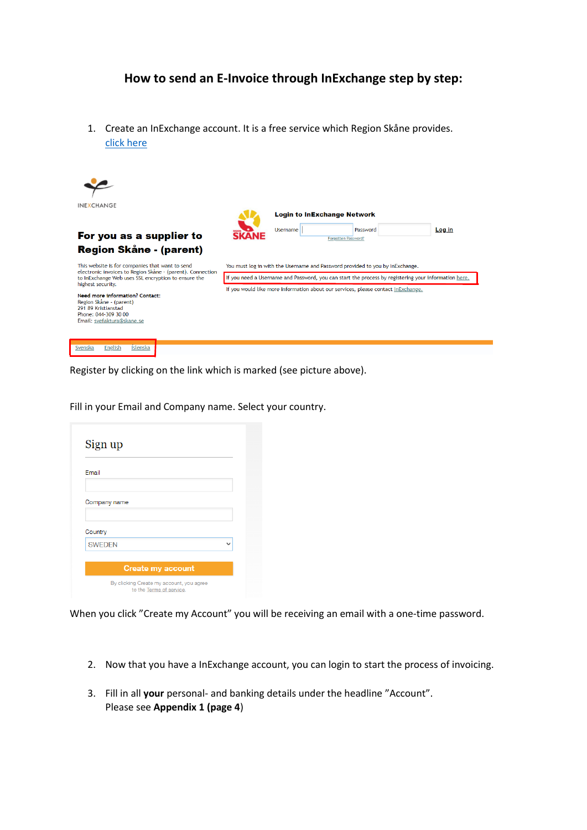## **How to send an E-Invoice through InExchange step by step:**

1. Create an InExchange account. It is a free service which Region Skåne provides. [click here](https://web.inexchange.se/inexchange/Mottagare/Region%20Skane)



Register by clicking on the link which is marked (see picture above).

Fill in your Email and Company name. Select your country.

| <b>Email</b>  |  |
|---------------|--|
| Company name  |  |
| Country       |  |
| <b>SWEDEN</b> |  |

When you click "Create my Account" you will be receiving an email with a one-time password.

- 2. Now that you have a InExchange account, you can login to start the process of invoicing.
- 3. Fill in all **your** personal- and banking details under the headline "Account". Please see **Appendix 1 (page 4**)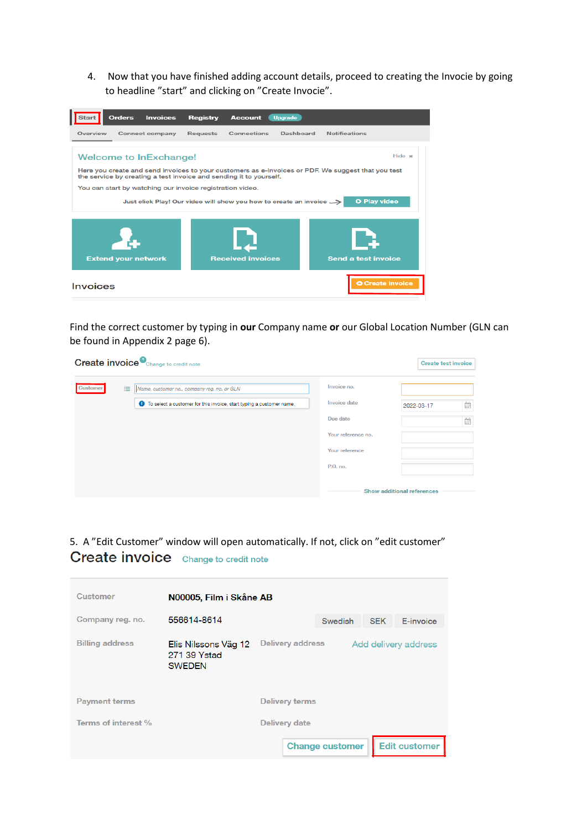4. Now that you have finished adding account details, proceed to creating the Invocie by going to headline "start" and clicking on "Create Invocie".



Find the correct customer by typing in **our** Company name **or** our Global Location Number (GLN can be found in Appendix 2 page 6).

|          |   | <b>Create invoice</b> Change to credit note                               |                     | <b>Create test invoice</b>        |                                        |
|----------|---|---------------------------------------------------------------------------|---------------------|-----------------------------------|----------------------------------------|
| Customer | 洼 | Name, customer no., company req. no. or GLN                               | Invoice no.         |                                   |                                        |
|          |   | To select a customer for this invoice, start typing a customer name.<br>Θ | <b>Invoice date</b> | 2022-03-17                        | $\frac{n}{\left(1+\frac{1}{n}\right)}$ |
|          |   |                                                                           | Due date            |                                   | Ë                                      |
|          |   |                                                                           | Your reference no.  |                                   |                                        |
|          |   |                                                                           | Your reference      |                                   |                                        |
|          |   |                                                                           | P.O. no.            |                                   |                                        |
|          |   |                                                                           |                     | <b>Show additional references</b> |                                        |

### 5. A "Edit Customer" window will open automatically. If not, click on "edit customer" **Create invoice** Change to credit note

| <b>Customer</b>        | N00005, Film i Skåne AB                               |                       |                         |                        |            |                      |
|------------------------|-------------------------------------------------------|-----------------------|-------------------------|------------------------|------------|----------------------|
| Company reg. no.       | 556614-8614                                           |                       |                         | Swedish                | <b>SEK</b> | E-invoice            |
| <b>Billing address</b> | Elis Nilssons Väg 12<br>271 39 Ystad<br><b>SWEDEN</b> |                       | <b>Delivery address</b> |                        |            | Add delivery address |
| <b>Payment terms</b>   |                                                       | <b>Delivery terms</b> |                         |                        |            |                      |
| Terms of interest %    |                                                       | Delivery date         |                         |                        |            |                      |
|                        |                                                       |                       |                         | <b>Change customer</b> |            | <b>Edit customer</b> |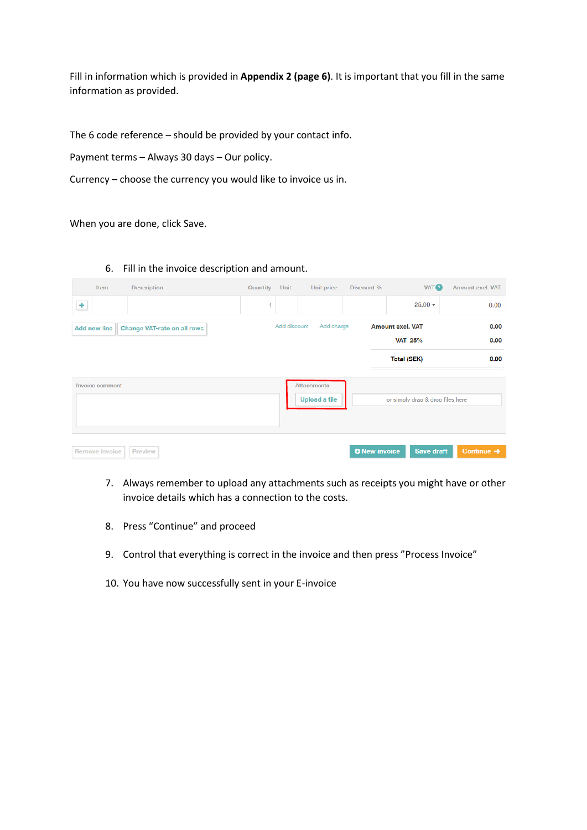Fill in information which is provided in **Appendix 2 (page 6)**. It is important that you fill in the same information as provided.

The 6 code reference – should be provided by your contact info.

Payment terms – Always 30 days – Our policy.

Currency – choose the currency you would like to invoice us in.

When you are done, click Save.

6. Fill in the invoice description and amount.

|                     | Item                  | <b>Description</b>                 | Quantity | Unit         | Unit price                                 | Discount %           | VAT <sup>2</sup>                          | Amount excl. VAT       |
|---------------------|-----------------------|------------------------------------|----------|--------------|--------------------------------------------|----------------------|-------------------------------------------|------------------------|
| $\ddot{\textbf{+}}$ |                       |                                    | 1        |              |                                            |                      | $25.00 +$                                 | 0.00                   |
|                     | <b>Add new line</b>   | <b>Change VAT-rate on all rows</b> |          | Add discount | Add charge                                 |                      | <b>Amount excl. VAT</b><br><b>VAT 25%</b> | 0.00<br>0.00           |
|                     |                       |                                    |          |              |                                            |                      | <b>Total (SEK)</b>                        | 0.00                   |
|                     | Invoice comment       |                                    |          |              | <b>Attachments</b><br><b>Upload a file</b> |                      | or simply drag & drop files here          |                        |
|                     | <b>Remove invoice</b> | <b>Preview</b>                     |          |              |                                            | <b>O</b> New invoice | Save draft                                | Continue $\rightarrow$ |

- 7. Always remember to upload any attachments such as receipts you might have or other invoice details which has a connection to the costs.
- 8. Press "Continue" and proceed
- 9. Control that everything is correct in the invoice and then press "Process Invoice"
- 10. You have now successfully sent in your E-invoice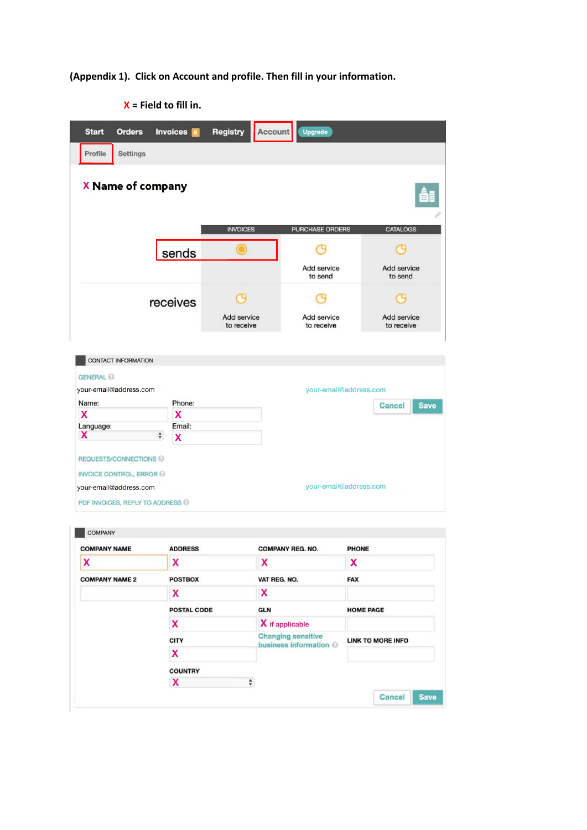**(Appendix 1). Click on Account and profile. Then fill in your information.** 

| <b>Start</b>                               | <b>Orders</b>                 | Invoices 6              | Registry                  | Account | <b>Upgrade</b>            |                           |
|--------------------------------------------|-------------------------------|-------------------------|---------------------------|---------|---------------------------|---------------------------|
| Profile                                    | Settings                      |                         |                           |         |                           |                           |
|                                            | X Name of company             |                         |                           |         |                           |                           |
|                                            |                               |                         | <b>INVOICES</b>           |         | <b>PURCHASE ORDERS</b>    | <b>CATALOGS</b>           |
|                                            |                               | sends                   |                           |         |                           | s                         |
|                                            |                               |                         |                           |         | Add service<br>to send    | Add service<br>to send    |
|                                            |                               | receives                | G                         |         |                           | 13                        |
|                                            |                               |                         | Add service<br>to receive |         | Add service<br>to receive | Add service<br>to receive |
| <b>CONTACT INFORMATION</b>                 |                               |                         |                           |         |                           |                           |
| <b>GENERAL</b> @<br>your-email@address.com |                               |                         |                           |         | your-email@address.com    |                           |
| Name:                                      |                               | Phone:                  |                           |         |                           |                           |
| X                                          |                               | $\overline{\mathbf{x}}$ |                           |         |                           | <b>Save</b><br>Cancel     |
| Language:                                  |                               | Email:                  |                           |         |                           |                           |
| X                                          | $\hat{\mathbf{v}}$            | X                       |                           |         |                           |                           |
|                                            | REQUESTS/CONNECTIONS          |                         |                           |         |                           |                           |
|                                            | <b>INVOICE CONTROL, ERROR</b> |                         |                           |         |                           |                           |
| your-email@address.com                     |                               |                         |                           |         | your-email@address.com    |                           |
|                                            |                               |                         |                           |         |                           |                           |

 **X = Field to fill in.**

| <b>COMPANY NAME</b>   | <b>ADDRESS</b>     | <b>COMPANY REG. NO.</b>                             | PHONE                    |  |  |
|-----------------------|--------------------|-----------------------------------------------------|--------------------------|--|--|
| X                     | X                  | X                                                   | X                        |  |  |
| <b>COMPANY NAME 2</b> | <b>POSTBOX</b>     | VAT REG. NO.                                        | <b>FAX</b>               |  |  |
|                       | X                  | x                                                   |                          |  |  |
|                       | <b>POSTAL CODE</b> | <b>GLN</b>                                          | <b>HOME PAGE</b>         |  |  |
|                       | X                  | X if applicable                                     |                          |  |  |
|                       | <b>CITY</b>        | <b>Changing sensitive</b><br>business information @ | <b>LINK TO MORE INFO</b> |  |  |
|                       | X                  |                                                     |                          |  |  |
|                       | <b>COUNTRY</b>     |                                                     |                          |  |  |
|                       | X<br>$\div$        |                                                     |                          |  |  |
|                       |                    |                                                     | <b>Save</b><br>Cancel    |  |  |